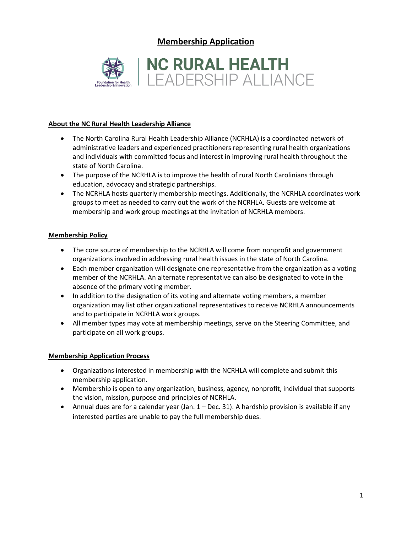**Membership Application**



### **About the NC Rural Health Leadership Alliance**

- The North Carolina Rural Health Leadership Alliance (NCRHLA) is a coordinated network of administrative leaders and experienced practitioners representing rural health organizations and individuals with committed focus and interest in improving rural health throughout the state of North Carolina.
- The purpose of the NCRHLA is to improve the health of rural North Carolinians through education, advocacy and strategic partnerships.
- The NCRHLA hosts quarterly membership meetings. Additionally, the NCRHLA coordinates work groups to meet as needed to carry out the work of the NCRHLA. Guests are welcome at membership and work group meetings at the invitation of NCRHLA members.

### **Membership Policy**

- The core source of membership to the NCRHLA will come from nonprofit and government organizations involved in addressing rural health issues in the state of North Carolina.
- Each member organization will designate one representative from the organization as a voting member of the NCRHLA. An alternate representative can also be designated to vote in the absence of the primary voting member.
- In addition to the designation of its voting and alternate voting members, a member organization may list other organizational representatives to receive NCRHLA announcements and to participate in NCRHLA work groups.
- All member types may vote at membership meetings, serve on the Steering Committee, and participate on all work groups.

### **Membership Application Process**

- Organizations interested in membership with the NCRHLA will complete and submit this membership application.
- Membership is open to any organization, business, agency, nonprofit, individual that supports the vision, mission, purpose and principles of NCRHLA.
- Annual dues are for a calendar year (Jan.  $1 Dec.$  31). A hardship provision is available if any interested parties are unable to pay the full membership dues.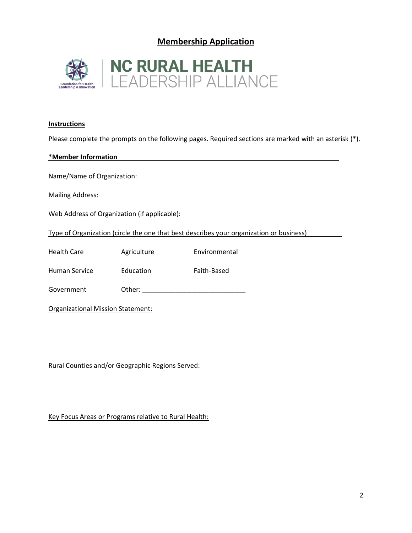## **Membership Application**



#### **Instructions**

Please complete the prompts on the following pages. Required sections are marked with an asterisk (\*).

| *Member Information                                                                     |             |               |  |  |
|-----------------------------------------------------------------------------------------|-------------|---------------|--|--|
| Name/Name of Organization:                                                              |             |               |  |  |
| <b>Mailing Address:</b>                                                                 |             |               |  |  |
| Web Address of Organization (if applicable):                                            |             |               |  |  |
| Type of Organization (circle the one that best describes your organization or business) |             |               |  |  |
| <b>Health Care</b>                                                                      | Agriculture | Environmental |  |  |
| Human Service                                                                           | Education   | Faith-Based   |  |  |
| Government                                                                              | Other:      |               |  |  |
| Organizational Mission Statement:                                                       |             |               |  |  |

Rural Counties and/or Geographic Regions Served:

Key Focus Areas or Programs relative to Rural Health: